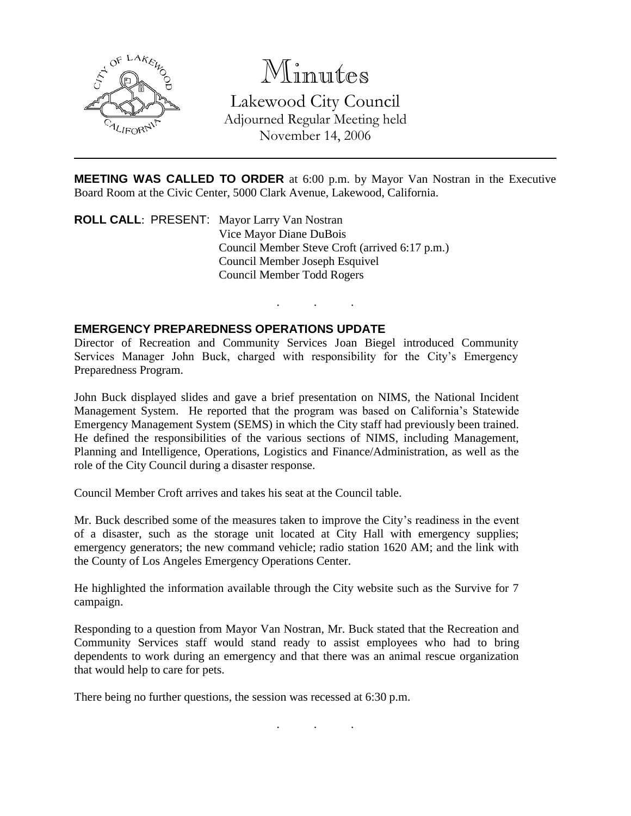

# Minutes

Lakewood City Council Adjourned Regular Meeting held November 14, 2006

**MEETING WAS CALLED TO ORDER** at 6:00 p.m. by Mayor Van Nostran in the Executive Board Room at the Civic Center, 5000 Clark Avenue, Lakewood, California.

. . .

**ROLL CALL**: PRESENT: Mayor Larry Van Nostran Vice Mayor Diane DuBois Council Member Steve Croft (arrived 6:17 p.m.) Council Member Joseph Esquivel Council Member Todd Rogers

#### **EMERGENCY PREPAREDNESS OPERATIONS UPDATE**

Director of Recreation and Community Services Joan Biegel introduced Community Services Manager John Buck, charged with responsibility for the City's Emergency Preparedness Program.

John Buck displayed slides and gave a brief presentation on NIMS, the National Incident Management System. He reported that the program was based on California's Statewide Emergency Management System (SEMS) in which the City staff had previously been trained. He defined the responsibilities of the various sections of NIMS, including Management, Planning and Intelligence, Operations, Logistics and Finance/Administration, as well as the role of the City Council during a disaster response.

Council Member Croft arrives and takes his seat at the Council table.

Mr. Buck described some of the measures taken to improve the City's readiness in the event of a disaster, such as the storage unit located at City Hall with emergency supplies; emergency generators; the new command vehicle; radio station 1620 AM; and the link with the County of Los Angeles Emergency Operations Center.

He highlighted the information available through the City website such as the Survive for 7 campaign.

Responding to a question from Mayor Van Nostran, Mr. Buck stated that the Recreation and Community Services staff would stand ready to assist employees who had to bring dependents to work during an emergency and that there was an animal rescue organization that would help to care for pets.

. . .

There being no further questions, the session was recessed at 6:30 p.m.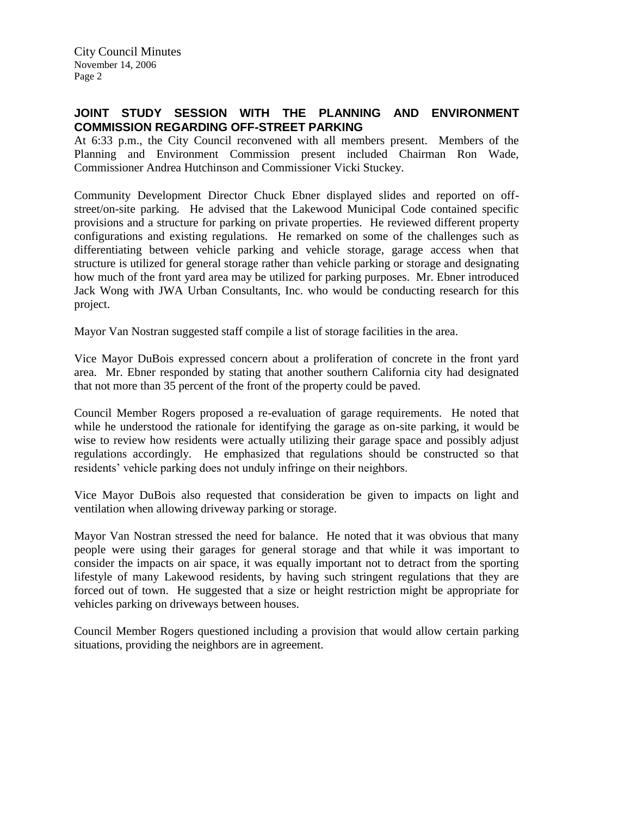City Council Minutes November 14, 2006 Page 2

### **JOINT STUDY SESSION WITH THE PLANNING AND ENVIRONMENT COMMISSION REGARDING OFF-STREET PARKING**

At 6:33 p.m., the City Council reconvened with all members present. Members of the Planning and Environment Commission present included Chairman Ron Wade, Commissioner Andrea Hutchinson and Commissioner Vicki Stuckey.

Community Development Director Chuck Ebner displayed slides and reported on offstreet/on-site parking. He advised that the Lakewood Municipal Code contained specific provisions and a structure for parking on private properties. He reviewed different property configurations and existing regulations. He remarked on some of the challenges such as differentiating between vehicle parking and vehicle storage, garage access when that structure is utilized for general storage rather than vehicle parking or storage and designating how much of the front yard area may be utilized for parking purposes. Mr. Ebner introduced Jack Wong with JWA Urban Consultants, Inc. who would be conducting research for this project.

Mayor Van Nostran suggested staff compile a list of storage facilities in the area.

Vice Mayor DuBois expressed concern about a proliferation of concrete in the front yard area. Mr. Ebner responded by stating that another southern California city had designated that not more than 35 percent of the front of the property could be paved.

Council Member Rogers proposed a re-evaluation of garage requirements. He noted that while he understood the rationale for identifying the garage as on-site parking, it would be wise to review how residents were actually utilizing their garage space and possibly adjust regulations accordingly. He emphasized that regulations should be constructed so that residents' vehicle parking does not unduly infringe on their neighbors.

Vice Mayor DuBois also requested that consideration be given to impacts on light and ventilation when allowing driveway parking or storage.

Mayor Van Nostran stressed the need for balance. He noted that it was obvious that many people were using their garages for general storage and that while it was important to consider the impacts on air space, it was equally important not to detract from the sporting lifestyle of many Lakewood residents, by having such stringent regulations that they are forced out of town. He suggested that a size or height restriction might be appropriate for vehicles parking on driveways between houses.

Council Member Rogers questioned including a provision that would allow certain parking situations, providing the neighbors are in agreement.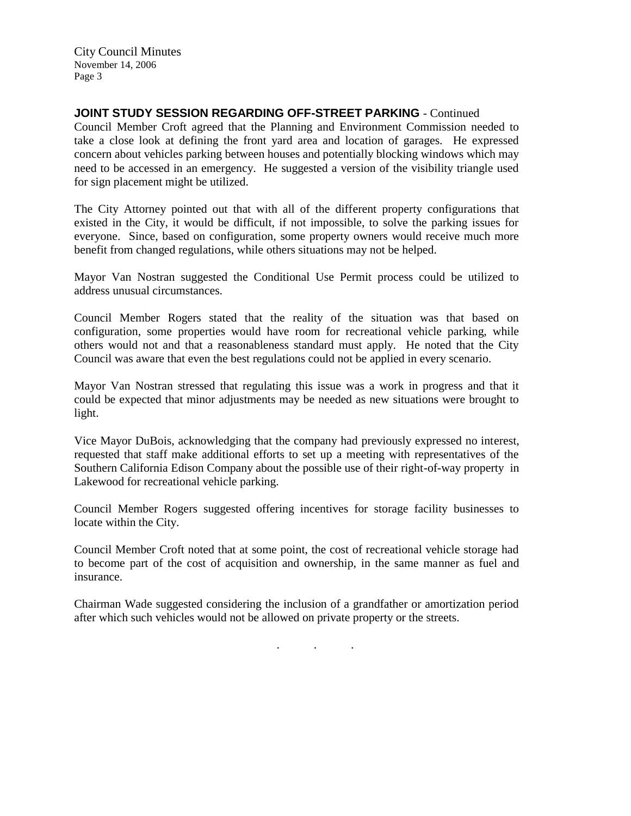City Council Minutes November 14, 2006 Page 3

### **JOINT STUDY SESSION REGARDING OFF-STREET PARKING** - Continued

Council Member Croft agreed that the Planning and Environment Commission needed to take a close look at defining the front yard area and location of garages. He expressed concern about vehicles parking between houses and potentially blocking windows which may need to be accessed in an emergency. He suggested a version of the visibility triangle used for sign placement might be utilized.

The City Attorney pointed out that with all of the different property configurations that existed in the City, it would be difficult, if not impossible, to solve the parking issues for everyone. Since, based on configuration, some property owners would receive much more benefit from changed regulations, while others situations may not be helped.

Mayor Van Nostran suggested the Conditional Use Permit process could be utilized to address unusual circumstances.

Council Member Rogers stated that the reality of the situation was that based on configuration, some properties would have room for recreational vehicle parking, while others would not and that a reasonableness standard must apply. He noted that the City Council was aware that even the best regulations could not be applied in every scenario.

Mayor Van Nostran stressed that regulating this issue was a work in progress and that it could be expected that minor adjustments may be needed as new situations were brought to light.

Vice Mayor DuBois, acknowledging that the company had previously expressed no interest, requested that staff make additional efforts to set up a meeting with representatives of the Southern California Edison Company about the possible use of their right-of-way property in Lakewood for recreational vehicle parking.

Council Member Rogers suggested offering incentives for storage facility businesses to locate within the City.

Council Member Croft noted that at some point, the cost of recreational vehicle storage had to become part of the cost of acquisition and ownership, in the same manner as fuel and insurance.

Chairman Wade suggested considering the inclusion of a grandfather or amortization period after which such vehicles would not be allowed on private property or the streets.

. . .